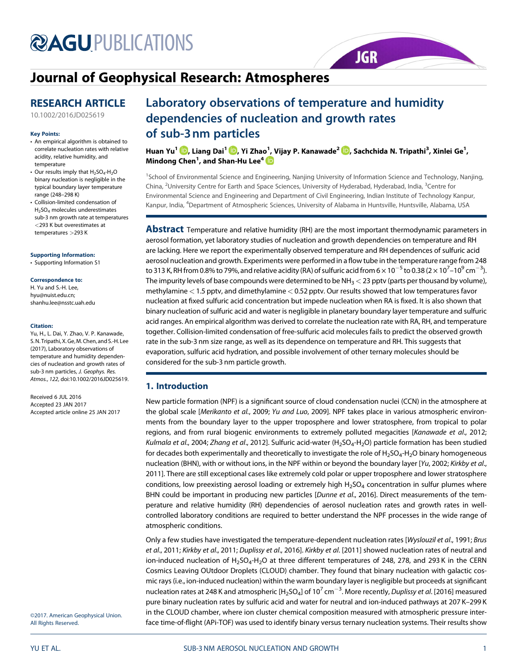# **@AGUPUBLICATIONS**

# Journal of Geophysical Research: Atmospheres

### RESEARCH ARTICLE

10.1002/2016JD025619

#### Key Points:

- An empirical algorithm is obtained to correlate nucleation rates with relative acidity, relative humidity, and temperature
- Our results imply that  $H_2SO_4-H_2O$ binary nucleation is negligible in the typical boundary layer temperature range (248–298 K)
- Collision-limited condensation of H2SO4 molecules underestimates sub-3 nm growth rate at temperatures <293 K but overestimates at temperatures >293 K

#### Supporting Information:

• Supporting Information S1

#### Correspondence to:

H. Yu and S.-H. Lee, hyu@nuist.edu.cn; shanhu.lee@nsstc.uah.edu

#### Citation:

Yu, H., L. Dai, Y. Zhao, V. P. Kanawade, S. N. Tripathi, X. Ge, M. Chen, and S.-H. Lee (2017), Laboratory observations of temperature and humidity dependencies of nucleation and growth rates of sub-3 nm particles, J. Geophys. Res. Atmos., 122, doi:10.1002/2016JD025619.

Received 6 JUL 2016 Accepted 23 JAN 2017 Accepted article online 25 JAN 2017

## Laboratory observations of temperature and humidity dependencies of nucleation and growth rates of sub-3nm particles

Huan Yu<sup>1</sup> , Liang Dai<sup>1</sup> , Yi Zhao<sup>1</sup> , Vijay P. Kanawade<sup>2</sup> , Sachchida N. Tripathi<sup>3</sup> , Xinlei Ge1 , Mindong Chen $^{\rm 1}$ , and Shan-Hu Lee $^{\rm 4}$ 

**JGR** 

<sup>1</sup>School of Environmental Science and Engineering, Nanjing University of Information Science and Technology, Nanjing, China, <sup>2</sup>University Centre for Earth and Space Sciences, University of Hyderabad, Hyderabad, India, <sup>3</sup>Centre for Environmental Science and Engineering and Department of Civil Engineering, Indian Institute of Technology Kanpur, Kanpur, India, <sup>4</sup> Department of Atmospheric Sciences, University of Alabama in Huntsville, Huntsville, Alabama, USA

**Abstract** Temperature and relative humidity (RH) are the most important thermodynamic parameters in aerosol formation, yet laboratory studies of nucleation and growth dependencies on temperature and RH are lacking. Here we report the experimentally observed temperature and RH dependences of sulfuric acid aerosol nucleation and growth. Experiments were performed in a flow tube in the temperature range from 248 to 313 K, RH from 0.8% to 79%, and relative acidity (RA) of sulfuric acid from 6  $\times$  10 $^{-5}$  to 0.38 (2  $\times$  10 $^7$ –10 $^9$  cm $^{-3}$ ). The impurity levels of base compounds were determined to be  $NH<sub>3</sub> < 23$  pptv (parts per thousand by volume), methylamine < 1.5 pptv, and dimethylamine < 0.52 pptv. Our results showed that low temperatures favor nucleation at fixed sulfuric acid concentration but impede nucleation when RA is fixed. It is also shown that binary nucleation of sulfuric acid and water is negligible in planetary boundary layer temperature and sulfuric acid ranges. An empirical algorithm was derived to correlate the nucleation rate with RA, RH, and temperature together. Collision-limited condensation of free-sulfuric acid molecules fails to predict the observed growth rate in the sub-3 nm size range, as well as its dependence on temperature and RH. This suggests that evaporation, sulfuric acid hydration, and possible involvement of other ternary molecules should be considered for the sub-3 nm particle growth.

#### 1. Introduction

New particle formation (NPF) is a significant source of cloud condensation nuclei (CCN) in the atmosphere at the global scale [Merikanto et al., 2009; Yu and Luo, 2009]. NPF takes place in various atmospheric environments from the boundary layer to the upper troposphere and lower stratosphere, from tropical to polar regions, and from rural biogenic environments to extremely polluted megacities [Kanawade et al., 2012; Kulmala et al., 2004; Zhang et al., 2012]. Sulfuric acid-water (H<sub>2</sub>SO<sub>4</sub>-H<sub>2</sub>O) particle formation has been studied for decades both experimentally and theoretically to investigate the role of  $H_2SO_4$ -H<sub>2</sub>O binary homogeneous nucleation (BHN), with or without ions, in the NPF within or beyond the boundary layer [Yu, 2002; Kirkby et al., 2011]. There are still exceptional cases like extremely cold polar or upper troposphere and lower stratosphere conditions, low preexisting aerosol loading or extremely high  $H_2SO_4$  concentration in sulfur plumes where BHN could be important in producing new particles [Dunne et al., 2016]. Direct measurements of the temperature and relative humidity (RH) dependencies of aerosol nucleation rates and growth rates in wellcontrolled laboratory conditions are required to better understand the NPF processes in the wide range of atmospheric conditions.

Only a few studies have investigated the temperature-dependent nucleation rates [Wyslouzil et al., 1991; Brus et al., 2011; Kirkby et al., 2011; Duplissy et al., 2016]. Kirkby et al. [2011] showed nucleation rates of neutral and ion-induced nucleation of H<sub>2</sub>SO<sub>4</sub>-H<sub>2</sub>O at three different temperatures of 248, 278, and 293 K in the CERN Cosmics Leaving OUtdoor Droplets (CLOUD) chamber. They found that binary nucleation with galactic cosmic rays (i.e., ion-induced nucleation) within the warm boundary layer is negligible but proceeds at significant nucleation rates at 248 K and atmospheric [H<sub>2</sub>SO<sub>4</sub>] of 10<sup>7</sup> cm<sup>-3</sup>. More recently, *Duplissy et al*. [2016] measured pure binary nucleation rates by sulfuric acid and water for neutral and ion-induced pathways at 207 K–299 K in the CLOUD chamber, where ion cluster chemical composition measured with atmospheric pressure interface time-of-flight (APi-TOF) was used to identify binary versus ternary nucleation systems. Their results show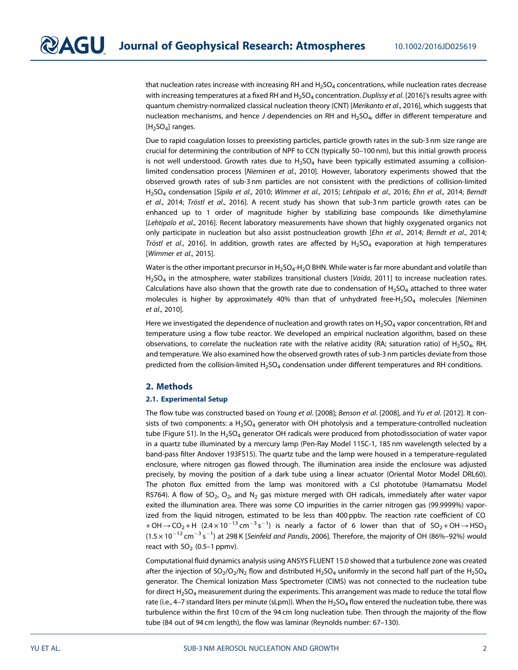that nucleation rates increase with increasing RH and  $H_2SO_4$  concentrations, while nucleation rates decrease with increasing temperatures at a fixed RH and  $H_2SO_4$  concentration. Duplissy et al. [2016]'s results agree with quantum chemistry-normalized classical nucleation theory (CNT) [Merikanto et al., 2016], which suggests that nucleation mechanisms, and hence J dependencies on RH and  $H_2SO_4$ , differ in different temperature and  $[H<sub>2</sub>SO<sub>4</sub>]$  ranges.

Due to rapid coagulation losses to preexisting particles, particle growth rates in the sub-3 nm size range are crucial for determining the contribution of NPF to CCN (typically 50–100 nm), but this initial growth process is not well understood. Growth rates due to  $H_2SO_4$  have been typically estimated assuming a collisionlimited condensation process [Nieminen et al., 2010]. However, laboratory experiments showed that the observed growth rates of sub-3 nm particles are not consistent with the predictions of collision-limited H2SO4 condensation [Sipila et al., 2010; Wimmer et al., 2015; Lehtipalo et al., 2016; Ehn et al., 2014; Berndt et al., 2014; Tröstl et al., 2016]. A recent study has shown that sub-3 nm particle growth rates can be enhanced up to 1 order of magnitude higher by stabilizing base compounds like dimethylamine [Lehtipalo et al., 2016]. Recent laboratory measurements have shown that highly oxygenated organics not only participate in nucleation but also assist postnucleation growth [Ehn et al., 2014; Berndt et al., 2014; Tröstl et al., 2016]. In addition, growth rates are affected by  $H_2SO_4$  evaporation at high temperatures [Wimmer et al., 2015].

Water is the other important precursor in H<sub>2</sub>SO<sub>4</sub>-H<sub>2</sub>O BHN. While water is far more abundant and volatile than  $H_2$ SO<sub>4</sub> in the atmosphere, water stabilizes transitional clusters [Vaida, 2011] to increase nucleation rates. Calculations have also shown that the growth rate due to condensation of  $H_2SO_4$  attached to three water molecules is higher by approximately 40% than that of unhydrated free-H<sub>2</sub>SO<sub>4</sub> molecules [Nieminen] et al., 2010].

Here we investigated the dependence of nucleation and growth rates on  $H_2SO_4$  vapor concentration, RH and temperature using a flow tube reactor. We developed an empirical nucleation algorithm, based on these observations, to correlate the nucleation rate with the relative acidity (RA; saturation ratio) of H<sub>2</sub>SO<sub>4</sub>, RH, and temperature. We also examined how the observed growth rates of sub-3 nm particles deviate from those predicted from the collision-limited H<sub>2</sub>SO<sub>4</sub> condensation under different temperatures and RH conditions.

#### 2. Methods

#### 2.1. Experimental Setup

The flow tube was constructed based on Young et al. [2008]; Benson et al. [2008], and Yu et al. [2012]. It consists of two components: a  $H_2SO_4$  generator with OH photolysis and a temperature-controlled nucleation tube (Figure S1). In the H<sub>2</sub>SO<sub>4</sub> generator OH radicals were produced from photodissociation of water vapor in a quartz tube illuminated by a mercury lamp (Pen-Ray Model 11SC-1, 185 nm wavelength selected by a band-pass filter Andover 193FS15). The quartz tube and the lamp were housed in a temperature-regulated enclosure, where nitrogen gas flowed through. The illumination area inside the enclosure was adjusted precisely, by moving the position of a dark tube using a linear actuator (Oriental Motor Model DRL60). The photon flux emitted from the lamp was monitored with a CsI phototube (Hamamatsu Model R5764). A flow of SO<sub>2</sub>, O<sub>2</sub>, and N<sub>2</sub> gas mixture merged with OH radicals, immediately after water vapor exited the illumination area. There was some CO impurities in the carrier nitrogen gas (99.9999%) vaporized from the liquid nitrogen, estimated to be less than 400 ppbv. The reaction rate coefficient of CO  $+$ OH $\rightarrow$ CO<sub>2</sub> + H (2.4  $\times$  10<sup>-13</sup> cm<sup>-3</sup> s<sup>-1</sup>) is nearly a factor of 6 lower than that of SO<sub>2</sub> + OH $\rightarrow$  HSO<sub>3</sub> (1.5  $\times$  10 $^{-12}$  cm $^{-3}$  s $^{-1}$ ) at 298 K [Seinfeld and Pandis, 2006]. Therefore, the majority of OH (86%–92%) would react with  $SO<sub>2</sub>$  (0.5–1 ppmv).

Computational fluid dynamics analysis using ANSYS FLUENT 15.0 showed that a turbulence zone was created after the injection of  $SO_2/O_2/N_2$  flow and distributed H<sub>2</sub>SO<sub>4</sub> uniformly in the second half part of the H<sub>2</sub>SO<sub>4</sub> generator. The Chemical Ionization Mass Spectrometer (CIMS) was not connected to the nucleation tube for direct  $H_2SO_4$  measurement during the experiments. This arrangement was made to reduce the total flow rate (i.e., 4–7 standard liters per minute (sLpm)). When the  $H_2SO_4$  flow entered the nucleation tube, there was turbulence within the first 10 cm of the 94 cm long nucleation tube. Then through the majority of the flow tube (84 out of 94 cm length), the flow was laminar (Reynolds number: 67–130).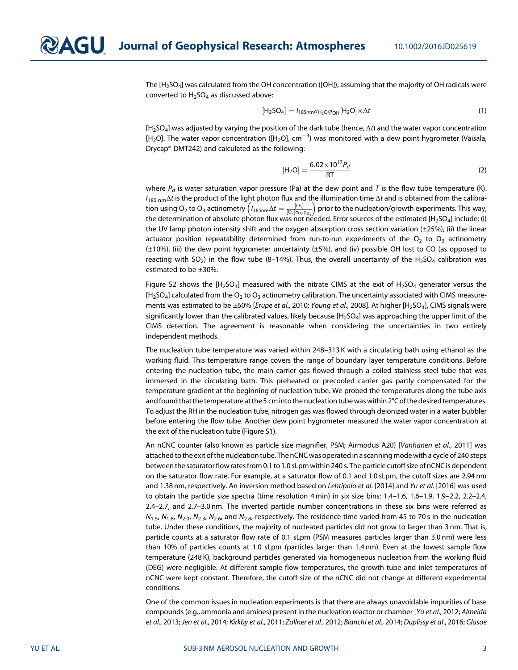The [H2SO4] was calculated from the OH concentration ([OH]), assuming that the majority of OH radicals were converted to  $H_2SO_4$  as discussed above:

$$
[\mathsf{H}_2\mathsf{SO}_4] = I_{185\mathsf{nm}}\sigma_{\mathsf{H}_2\mathsf{O}}\varphi_{\mathsf{OH}}[\mathsf{H}_2\mathsf{O}] \times \Delta t \tag{1}
$$

 $[H_2SO_4]$  was adjusted by varying the position of the dark tube (hence,  $\Delta t$ ) and the water vapor concentration [H<sub>2</sub>O]. The water vapor concentration ([H<sub>2</sub>O], cm<sup>-3</sup>) was monitored with a dew point hygrometer (Vaisala, Drycap® DMT242) and calculated as the following:

$$
[H_2O] = \frac{6.02 \times 10^{17} P_d}{RT}
$$
 (2)

where  $P_d$  is water saturation vapor pressure (Pa) at the dew point and T is the flow tube temperature (K).  $I_{185 \text{ nm}}\Delta t$  is the product of the light photon flux and the illumination time  $\Delta t$  and is obtained from the calibration using O<sub>2</sub> to O<sub>3</sub> actinometry  $\left(I_{185nm $\Delta t = \frac{\left[O_3\right]}{\left[O_2\right]\sigma_{O_2}\phi_{O_3}}\right)$  prior to the nucleation/growth experiments. This way,$ the determination of absolute photon flux was not needed. Error sources of the estimated [H<sub>2</sub>SO<sub>4</sub>] include: (i) the UV lamp photon intensity shift and the oxygen absorption cross section variation (±25%), (ii) the linear actuator position repeatability determined from run-to-run experiments of the  $O_2$  to  $O_3$  actinometry (±10%), (iii) the dew point hygrometer uncertainty (±5%), and (iv) possible OH lost to CO (as opposed to reacting with  $SO_2$ ) in the flow tube (8-14%). Thus, the overall uncertainty of the H<sub>2</sub>SO<sub>4</sub> calibration was estimated to be ±30%.

Figure S2 shows the  $[H_2SO_4]$  measured with the nitrate CIMS at the exit of  $H_2SO_4$  generator versus the  $[H<sub>2</sub>SO<sub>4</sub>]$  calculated from the O<sub>2</sub> to O<sub>3</sub> actinometry calibration. The uncertainty associated with CIMS measurements was estimated to be ±60% [Erupe et al., 2010; Young et al., 2008]. At higher [H<sub>2</sub>SO<sub>4</sub>], CIMS signals were significantly lower than the calibrated values, likely because [H<sub>2</sub>SO<sub>4</sub>] was approaching the upper limit of the CIMS detection. The agreement is reasonable when considering the uncertainties in two entirely independent methods.

The nucleation tube temperature was varied within 248–313 K with a circulating bath using ethanol as the working fluid. This temperature range covers the range of boundary layer temperature conditions. Before entering the nucleation tube, the main carrier gas flowed through a coiled stainless steel tube that was immersed in the circulating bath. This preheated or precooled carrier gas partly compensated for the temperature gradient at the beginning of nucleation tube. We probed the temperatures along the tube axis andfound that the temperature at the 5 cm into the nucleation tube was within 2°C of the desired temperatures. To adjust the RH in the nucleation tube, nitrogen gas was flowed through deionized water in a water bubbler before entering the flow tube. Another dew point hygrometer measured the water vapor concentration at the exit of the nucleation tube (Figure S1).

An nCNC counter (also known as particle size magnifier, PSM; Airmodus A20) [Vanhanen et al., 2011] was attached to the exit of the nucleation tube. The nCNC was operated in a scanning mode with a cycle of 240 steps between the saturator flow ratesfrom 0.1 to 1.0 sLpm within 240 s. The particle cutoff size of nCNC is dependent on the saturator flow rate. For example, at a saturator flow of 0.1 and 1.0 sLpm, the cutoff sizes are 2.94 nm and 1.38 nm, respectively. An inversion method based on Lehtipalo et al. [2014] and Yu et al. [2016] was used to obtain the particle size spectra (time resolution 4 min) in six size bins: 1.4–1.6, 1.6–1.9, 1.9–2.2, 2.2–2.4, 2.4–2.7, and 2.7–3.0 nm. The inverted particle number concentrations in these six bins were referred as  $N_{1.5}$ ,  $N_{1.8}$ ,  $N_{2.0}$ ,  $N_{2.3}$ ,  $N_{2.6}$ , and  $N_{2.8}$ , respectively. The residence time varied from 45 to 70 s in the nucleation tube. Under these conditions, the majority of nucleated particles did not grow to larger than 3 nm. That is, particle counts at a saturator flow rate of 0.1 sLpm (PSM measures particles larger than 3.0 nm) were less than 10% of particles counts at 1.0 sLpm (particles larger than 1.4 nm). Even at the lowest sample flow temperature (248 K), background particles generated via homogeneous nucleation from the working fluid (DEG) were negligible. At different sample flow temperatures, the growth tube and inlet temperatures of nCNC were kept constant. Therefore, the cutoff size of the nCNC did not change at different experimental conditions.

One of the common issues in nucleation experiments is that there are always unavoidable impurities of base compounds (e.g., ammonia and amines) present in the nucleation reactor or chamber [Yu et al., 2012; Almeida et al., 2013; Jen et al., 2014; Kirkby et al., 2011; Zollner et al., 2012; Bianchi et al., 2014; Duplissy et al., 2016; Glasoe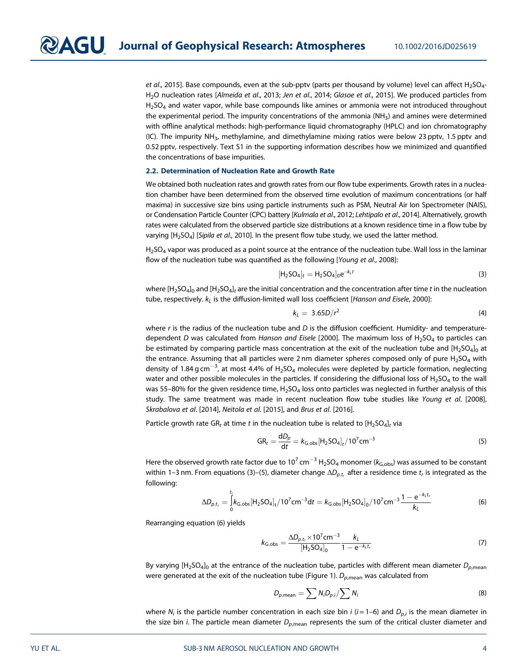et al., 2015]. Base compounds, even at the sub-pptv (parts per thousand by volume) level can affect H<sub>2</sub>SO<sub>4</sub>-H<sub>2</sub>O nucleation rates [Almeida et al., 2013; Jen et al., 2014; Glasoe et al., 2015]. We produced particles from  $H<sub>2</sub>SO<sub>4</sub>$  and water vapor, while base compounds like amines or ammonia were not introduced throughout the experimental period. The impurity concentrations of the ammonia  $(NH<sub>3</sub>)$  and amines were determined with offline analytical methods: high-performance liquid chromatography (HPLC) and ion chromatography (IC). The impurity NH3, methylamine, and dimethylamine mixing ratios were below 23 pptv, 1.5 pptv and 0.52 pptv, respectively. Text S1 in the supporting information describes how we minimized and quantified the concentrations of base impurities.

#### 2.2. Determination of Nucleation Rate and Growth Rate

We obtained both nucleation rates and growth rates from our flow tube experiments. Growth rates in a nucleation chamber have been determined from the observed time evolution of maximum concentrations (or half maxima) in successive size bins using particle instruments such as PSM, Neutral Air Ion Spectrometer (NAIS), or Condensation Particle Counter (CPC) battery [Kulmala et al., 2012; Lehtipalo et al., 2014]. Alternatively, growth rates were calculated from the observed particle size distributions at a known residence time in a flow tube by varying [H<sub>2</sub>SO<sub>4</sub>] [Sipila et al., 2010]. In the present flow tube study, we used the latter method.

H<sub>2</sub>SO<sub>4</sub> vapor was produced as a point source at the entrance of the nucleation tube. Wall loss in the laminar flow of the nucleation tube was quantified as the following [Young et al., 2008]:

$$
[H_2SO_4]_t = H_2SO_4]_0 e^{-k_t t}
$$
\n(3)

where  $[H_2SO_4]_0$  and  $[H_2SO_4]_t$  are the initial concentration and the concentration after time t in the nucleation tube, respectively.  $k<sub>L</sub>$  is the diffusion-limited wall loss coefficient [Hanson and Eisele, 2000]:

$$
k_L = 3.65D/r^2 \tag{4}
$$

where  $r$  is the radius of the nucleation tube and  $D$  is the diffusion coefficient. Humidity- and temperaturedependent D was calculated from Hanson and Eisele [2000]. The maximum loss of  $H<sub>2</sub>SO<sub>4</sub>$  to particles can be estimated by comparing particle mass concentration at the exit of the nucleation tube and  $[H_2SO_4]_0$  at the entrance. Assuming that all particles were 2 nm diameter spheres composed only of pure  $H_2SO_4$  with density of 1.84 g cm $^{-3}$ , at most 4.4% of H<sub>2</sub>SO<sub>4</sub> molecules were depleted by particle formation, neglecting water and other possible molecules in the particles. If considering the diffusional loss of  $H_2SO_4$  to the wall was 55–80% for the given residence time, H<sub>2</sub>SO<sub>4</sub> loss onto particles was neglected in further analysis of this study. The same treatment was made in recent nucleation flow tube studies like Young et al. [2008], Skrabalova et al. [2014], Neitola et al. [2015], and Brus et al. [2016].

Particle growth rate GR<sub>t</sub> at time t in the nucleation tube is related to  $[H_2SO_4]_t$  via

$$
GR_t = \frac{dD_p}{dt} = k_{G,obs}[H_2SO_4]_t / 10^7 cm^{-3}
$$
 (5)

Here the observed growth rate factor due to 10<sup>7</sup> cm<sup>-3</sup> H<sub>2</sub>SO<sub>4</sub> monomer ( $k_{G,obs}$ ) was assumed to be constant within 1–3 nm. From equations (3)–(5), diameter change  $\Delta D_{p,t_r}$  after a residence time  $t_r$  is integrated as the following:

$$
\Delta D_{p,t_r} = \int_0^{t_r} k_{G,\text{obs}} [H_2 SO_4]_t / 10^7 \text{ cm}^{-3} \text{d}t = k_{G,\text{obs}} [H_2 SO_4]_0 / 10^7 \text{ cm}^{-3} \frac{1 - e^{-k_L t_r}}{k_L}
$$
(6)

Rearranging equation (6) yields

$$
k_{\text{G,obs}} = \frac{\Delta D_{p,t_r} \times 10^7 \text{cm}^{-3}}{[H_2 \text{SO}_4]_0} \frac{k_l}{1 - e^{-k_l t_r}}
$$
(7)

By varying  $[H_2SO_4]_0$  at the entrance of the nucleation tube, particles with different mean diameter  $D_{p,\text{mean}}$ were generated at the exit of the nucleation tube (Figure 1).  $D_{p,\text{mean}}$  was calculated from

$$
D_{p,\text{mean}} = \sum N_i D_{p,i} / \sum N_i \tag{8}
$$

where  $N_i$  is the particle number concentration in each size bin *i* ( $i = 1-6$ ) and  $D_{p,i}$  is the mean diameter in the size bin *i*. The particle mean diameter  $D_{p,\text{mean}}$  represents the sum of the critical cluster diameter and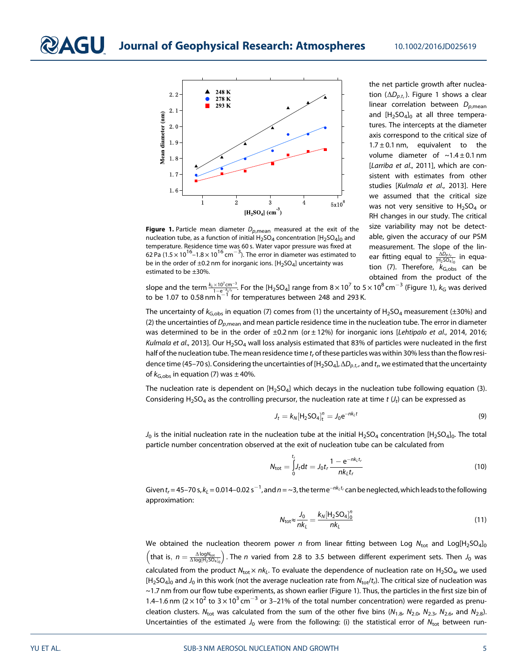

**Figure 1.** Particle mean diameter  $D_{n,\text{mean}}$  measured at the exit of the nucleation tube, as a function of initial  $H_2SO_4$  concentration  $[H_2SO_4]_0$  and temperature. Residence time was 60 s. Water vapor pressure was fixed at 62 Pa (1.5  $\times$  10<sup>16</sup> –1.8  $\times$  10<sup>16</sup> cm<sup>-3</sup>). The error in diameter was estimated to be in the order of  $\pm 0.2$  nm for inorganic ions. [H<sub>2</sub>SO<sub>4</sub>] uncertainty was estimated to be ±30%.

the net particle growth after nucleation ( $\Delta D_{p,t}$ ). Figure 1 shows a clear linear correlation between  $D_{p,\text{mean}}$ and  $[H<sub>2</sub>SO<sub>4</sub>]<sub>0</sub>$  at all three temperatures. The intercepts at the diameter axis correspond to the critical size of  $1.7 \pm 0.1$  nm, equivalent to the volume diameter of  $\sim$ 1.4 ± 0.1 nm [Larriba et al., 2011], which are consistent with estimates from other studies [Kulmala et al., 2013]. Here we assumed that the critical size was not very sensitive to  $H_2SO_4$  or RH changes in our study. The critical size variability may not be detectable, given the accuracy of our PSM measurement. The slope of the linear fitting equal to  $\frac{\Delta D_{p,t_r}}{[H_2SO_4]_0}$  in equation (7). Therefore,  $k_{\text{G,obs}}$  can be obtained from the product of the

slope and the term  $\frac{k_L\times 10^7$ cm<sup>-3</sup>. For the [H<sub>2</sub>SO<sub>4</sub>] range from 8 × 10<sup>7</sup> to 5 × 10<sup>8</sup> cm<sup>-3</sup> (Figure 1),  $k_{\rm G}$  was derived<br>to be 1.07 to 0.58 nm h<sup>-1</sup> for temperatures between 248 and 293 K.

The uncertainty of  $k_{G,obs}$  in equation (7) comes from (1) the uncertainty of H<sub>2</sub>SO<sub>4</sub> measurement (±30%) and (2) the uncertainties of  $D_{p,\text{mean}}$  and mean particle residence time in the nucleation tube. The error in diameter was determined to be in the order of  $\pm 0.2$  nm (or  $\pm 12$ %) for inorganic ions [Lehtipalo et al., 2014, 2016; Kulmala et al., 2013]. Our H<sub>2</sub>SO<sub>4</sub> wall loss analysis estimated that 83% of particles were nucleated in the first half of the nucleation tube. The mean residence time  $t_r$  of these particles was within 30% less than the flow residence time (45–70 s). Considering the uncertainties of [H<sub>2</sub>SO<sub>4</sub>],  $\Delta D_{p,t,r}$  and  $t_r$  we estimated that the uncertainty of  $k_{\text{G,obs}}$  in equation (7) was  $\pm$  40%.

The nucleation rate is dependent on  $[H_2SO_4]$  which decays in the nucleation tube following equation (3). Considering H<sub>2</sub>SO<sub>4</sub> as the controlling precursor, the nucleation rate at time t  $(J_t)$  can be expressed as

$$
J_t = k_N [\text{H}_2 \text{SO}_4]_t^n = J_0 e^{-nk_t t}
$$
\n(9)

 $J_0$  is the initial nucleation rate in the nucleation tube at the initial H<sub>2</sub>SO<sub>4</sub> concentration [H<sub>2</sub>SO<sub>4</sub>]<sub>0</sub>. The total particle number concentration observed at the exit of nucleation tube can be calculated from

$$
N_{\rm tot} = \int_{0}^{t_r} J_t dt = J_0 t_r \frac{1 - e^{-nk_t t_r}}{nk_t t_r}
$$
 (10)

Given  $t_r$  = 45–70 s,  $k_L$  = 0.014–0.02 s $^{-1}$ , and  $n$  = ~3, the terme $^{-nk_Lt_r}$  can be neglected, which leads to the following approximation:

$$
N_{\text{tot}} \approx \frac{J_0}{nk_L} = \frac{k_N [\text{H}_2 \text{SO}_4]_0^n}{nk_L} \tag{11}
$$

We obtained the nucleation theorem power n from linear fitting between Log  $N_{\text{tot}}$  and Log[H<sub>2</sub>SO<sub>4</sub>]<sub>0</sub>  $\left(\text{that is, }n=\frac{\Delta\log N_{\text{tot}}}{\Delta\log|H_2SO_4|_0}\right)$ . The n varied from 2.8 to 3.5 between different experiment sets. Then  $J_0$  was calculated from the product  $N_{\text{tot}} \times nk_L$ . To evaluate the dependence of nucleation rate on H<sub>2</sub>SO<sub>4</sub>, we used  $[H_2SO_4]_0$  and  $J_0$  in this work (not the average nucleation rate from  $N_{\text{tot}}/t_l$ ). The critical size of nucleation was ~1.7 nm from our flow tube experiments, as shown earlier (Figure 1). Thus, the particles in the first size bin of 1.4–1.6 nm ( $2 \times 10^2$  to  $3 \times 10^3$  cm<sup>-3</sup> or 3–21% of the total number concentration) were regarded as prenucleation clusters. N<sub>tot</sub> was calculated from the sum of the other five bins (N<sub>1.8</sub>, N<sub>2.0</sub>, N<sub>2.3</sub>, N<sub>2.6</sub>, and N<sub>2.8</sub>). Uncertainties of the estimated  $J_0$  were from the following: (i) the statistical error of  $N_{\text{tot}}$  between run-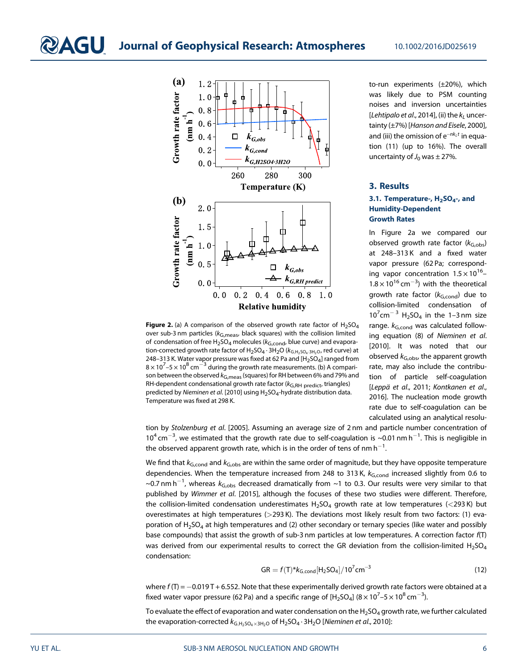

Figure 2. (a) A comparison of the observed growth rate factor of  $H_2SO_4$ over sub-3 nm particles ( $k_{\text{G,meas}}$ , black squares) with the collision limited of condensation of free  $H_2$ SO<sub>4</sub> molecules ( $k_{G,cond}$ , blue curve) and evaporation-corrected growth rate factor of  $H_2SO_4 \cdot 3H_2O$  ( $k_{G,H_2SO_4 \cdot 3H_2O}$ , red curve) at 248–313 K. Water vapor pressure was fixed at 62 Pa and  $[H_2SO_4]$  ranged from  $8 \times 10^{7}$ –5  $\times$  10<sup>8</sup> cm<sup>-3</sup> during the growth rate measurements. (b) A comparison between the observed  $k_{\text{G},\text{meas}}$  (squares) for RH between 6% and 79% and RH-dependent condensational growth rate factor ( $k_{G,RH}$  predict, triangles) predicted by Nieminen et al. [2010] using H<sub>2</sub>SO<sub>4</sub>-hydrate distribution data. Temperature was fixed at 298 K.

to-run experiments (±20%), which was likely due to PSM counting noises and inversion uncertainties [Lehtipalo et al., 2014], (ii) the  $k_1$  uncertainty (±7%) [Hanson and Eisele, 2000], and (iii) the omission of  $e^{-nk_L t}$  in equation (11) (up to 16%). The overall uncertainty of  $J_0$  was  $\pm$  27%.

#### 3. Results

#### 3.1. Temperature-,  $H_2SO_4$ -, and Humidity-Dependent Growth Rates

In Figure 2a we compared our observed growth rate factor  $(k_{G,obs})$ at 248–313 K and a fixed water vapor pressure (62 Pa; corresponding vapor concentration  $1.5 \times 10^{16}$ - $1.8 \times 10^{16}$  cm<sup>-3</sup>) with the theoretical growth rate factor  $(k_{\text{G,cond}})$  due to collision-limited condensation of  $10^{7}$ cm<sup>-3</sup> H<sub>2</sub>SO<sub>4</sub> in the 1-3 nm size range.  $k_{\text{G,cond}}$  was calculated following equation (8) of Nieminen et al. [2010]. It was noted that our observed  $k_{\text{G,obs}}$ , the apparent growth rate, may also include the contribution of particle self-coagulation [Leppä et al., 2011; Kontkanen et al., 2016]. The nucleation mode growth rate due to self-coagulation can be calculated using an analytical resolu-

tion by Stolzenburg et al. [2005]. Assuming an average size of 2 nm and particle number concentration of  $10^4$  cm<sup>-3</sup>, we estimated that the growth rate due to self-coagulation is ~0.01 nm h<sup>-1</sup>. This is negligible in the observed apparent growth rate, which is in the order of tens of nm  $h^{-1}$ . .

We find that  $k_{G,cond}$  and  $k_{G,obs}$  are within the same order of magnitude, but they have opposite temperature dependencies. When the temperature increased from 248 to 313 K,  $k_{G,cond}$  increased slightly from 0.6 to ~0.7 nm h $^{-1}$ , whereas  $k_{\rm G,obs}$  decreased dramatically from ~1 to 0.3. Our results were very similar to that published by Wimmer et al. [2015], although the focuses of these two studies were different. Therefore, the collision-limited condensation underestimates  $H_2SO_4$  growth rate at low temperatures (<293 K) but overestimates at high temperatures (>293 K). The deviations most likely result from two factors: (1) evaporation of H<sub>2</sub>SO<sub>4</sub> at high temperatures and (2) other secondary or ternary species (like water and possibly base compounds) that assist the growth of sub-3 nm particles at low temperatures. A correction factor f(T) was derived from our experimental results to correct the GR deviation from the collision-limited  $H_2SO_4$ condensation:

$$
GR = f(T)^{*}k_{G,cond}[H_{2}SO_{4}]/10^{7}cm^{-3}
$$
 (12)

where  $f(T) = -0.019 T + 6.552$ . Note that these experimentally derived growth rate factors were obtained at a fixed water vapor pressure (62 Pa) and a specific range of [H<sub>2</sub>SO<sub>4</sub>] (8  $\times$  10<sup>7</sup>–5  $\times$  10<sup>8</sup> cm $^{-3}$ ).

To evaluate the effect of evaporation and water condensation on the H<sub>2</sub>SO<sub>4</sub> growth rate, we further calculated the evaporation-corrected  $k_{G,H_2SO_4\times 3H_2O}$  of  $H_2SO_4\cdot 3H_2O$  [Nieminen et al., 2010]: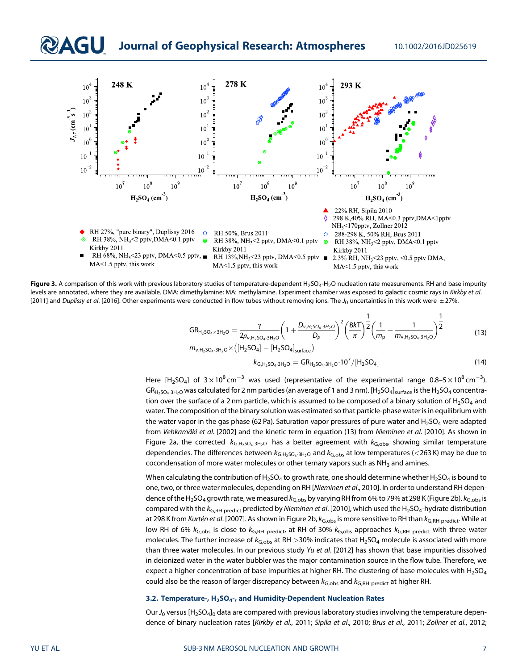### **DAGU** Journal of Geophysical Research: Atmospheres 10.1002/2016JD025619



Figure 3. A comparison of this work with previous laboratory studies of temperature-dependent H<sub>2</sub>SO<sub>4</sub>-H<sub>2</sub>O nucleation rate measurements. RH and base impurity levels are annotated, where they are available. DMA: dimethylamine; MA: methylamine. Experiment chamber was exposed to galactic cosmic rays in Kirkby et al. [2011] and Duplissy et al. [2016]. Other experiments were conducted in flow tubes without removing ions. The  $J_0$  uncertainties in this work were  $\pm$  27%.

$$
GR_{H_2SQ_4 \times 3H_2O} = \frac{\gamma}{2\rho_{v,H_2SQ_4 \cdot 3H_2O}} \left(1 + \frac{D_{v,H_2SQ_4 \cdot 3H_2O}}{D_p}\right)^2 \left(\frac{8kT}{\pi}\right)^{\frac{1}{2}} \left(\frac{1}{m_p} + \frac{1}{m_{v,H_2SQ_4 \cdot 3H_2O}}\right)^{\frac{1}{2}}
$$
(13)  

$$
m_{v,H_2SQ_4 \cdot 3H_2O} \times ([H_2SQ_4] - [H_2SQ_4]_{\text{surface}})
$$

$$
k_{G,H_2SO_4\cdot 3H_2O} = GR_{H_2SO_4\cdot 3H_2O} \cdot 10^7/[H_2SO_4]
$$
\n(14)

Here [H<sub>2</sub>SO<sub>4</sub>] of  $3 \times 10^8$  cm<sup>-3</sup> was used (representative of the experimental range 0.8–5  $\times$  10<sup>8</sup> cm<sup>-3</sup>).  $GR_{H_2SO_4,3H_2O}$  was calculated for 2 nm particles (an average of 1 and 3 nm). [H<sub>2</sub>SO<sub>4</sub>]<sub>surface</sub> is the H<sub>2</sub>SO<sub>4</sub> concentration over the surface of a 2 nm particle, which is assumed to be composed of a binary solution of  $H_2SO_4$  and water. The composition of the binary solution was estimated so that particle-phase water is in equilibrium with the water vapor in the gas phase (62 Pa). Saturation vapor pressures of pure water and  $H_2SO_4$  were adapted from Vehkamäki et al. [2002] and the kinetic term in equation (13) from Nieminen et al. [2010]. As shown in Figure 2a, the corrected  $k_{G,H_2SO_4\cdot 3H_2O}$  has a better agreement with  $k_{G,obs}$ , showing similar temperature dependencies. The differences between  $k_{G,H_2SO_4:3H_2O}$  and  $k_{G,obs}$  at low temperatures (<263 K) may be due to cocondensation of more water molecules or other ternary vapors such as  $NH<sub>3</sub>$  and amines.

When calculating the contribution of H<sub>2</sub>SO<sub>4</sub> to growth rate, one should determine whether H<sub>2</sub>SO<sub>4</sub> is bound to one, two, or three water molecules, depending on RH [Nieminen et al., 2010]. In order to understand RH dependence of the H<sub>2</sub>SO<sub>4</sub> growth rate, we measured  $k_{G,obs}$  by varying RH from 6% to 79% at 298 K (Figure 2b).  $k_{G,obs}$  is compared with the  $k_{G,RH}$  predicted by Nieminen et al. [2010], which used the H<sub>2</sub>SO<sub>4</sub>-hydrate distribution at 298 K from Kurtén et al. [2007]. As shown in Figure 2b,  $k_{G,obs}$  is more sensitive to RH than  $k_{G,RH}$  predict. While at low RH of 6%  $k_{G,obs}$  is close to  $k_{G,RH}$  predict, at RH of 30%  $k_{G,obs}$  approaches  $k_{G,RH}$  predict with three water molecules. The further increase of  $k_{G,obs}$  at RH >30% indicates that H<sub>2</sub>SO<sub>4</sub> molecule is associated with more than three water molecules. In our previous study Yu et al. [2012] has shown that base impurities dissolved in deionized water in the water bubbler was the major contamination source in the flow tube. Therefore, we expect a higher concentration of base impurities at higher RH. The clustering of base molecules with  $H_2SO_4$ could also be the reason of larger discrepancy between  $k_{G,obs}$  and  $k_{G,RH}$  predict at higher RH.

#### 3.2. Temperature-, H<sub>2</sub>SO<sub>4</sub>-, and Humidity-Dependent Nucleation Rates

Our  $J_0$  versus [H<sub>2</sub>SO<sub>4</sub>]<sub>0</sub> data are compared with previous laboratory studies involving the temperature dependence of binary nucleation rates [Kirkby et al., 2011; Sipila et al., 2010; Brus et al., 2011; Zollner et al., 2012;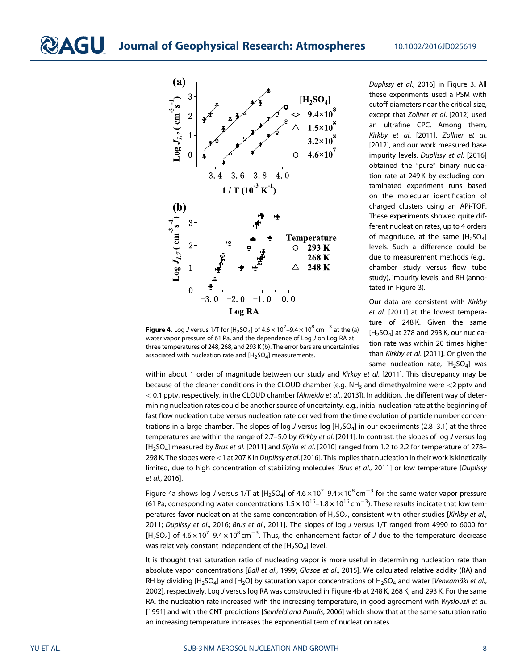

Duplissy et al., 2016] in Figure 3. All these experiments used a PSM with cutoff diameters near the critical size, except that Zollner et al. [2012] used an ultrafine CPC. Among them, Kirkby et al. [2011], Zollner et al. [2012], and our work measured base impurity levels. Duplissy et al. [2016] obtained the "pure" binary nucleation rate at 249 K by excluding contaminated experiment runs based on the molecular identification of charged clusters using an APi-TOF. These experiments showed quite different nucleation rates, up to 4 orders of magnitude, at the same  $[H_2SO_4]$ levels. Such a difference could be due to measurement methods (e.g., chamber study versus flow tube study), impurity levels, and RH (annotated in Figure 3).

Our data are consistent with Kirkby et al. [2011] at the lowest temperature of 248 K. Given the same  $[H<sub>2</sub>SO<sub>4</sub>]$  at 278 and 293 K, our nucleation rate was within 20 times higher than Kirkby et al. [2011]. Or given the same nucleation rate,  $[H_2SO_4]$  was

**Figure 4.** Log J versus 1/T for [H<sub>2</sub>SO<sub>4</sub>] of 4.6  $\times$  10<sup>7</sup>–9.4  $\times$  10<sup>8</sup> cm $^{-3}$  at the (a) water vapor pressure of 61 Pa, and the dependence of Log J on Log RA at three temperatures of 248, 268, and 293 K (b). The error bars are uncertainties associated with nucleation rate and  $[H_2SO_4]$  measurements.

within about 1 order of magnitude between our study and Kirkby et al. [2011]. This discrepancy may be because of the cleaner conditions in the CLOUD chamber (e.g., NH<sub>3</sub> and dimethyalmine were  $<$ 2 pptv and < 0.1 pptv, respectively, in the CLOUD chamber [Almeida et al., 2013]). In addition, the different way of determining nucleation rates could be another source of uncertainty, e.g., initial nucleation rate at the beginning of fast flow nucleation tube versus nucleation rate derived from the time evolution of particle number concentrations in a large chamber. The slopes of log J versus log  $[H_2SO_4]$  in our experiments (2.8–3.1) at the three temperatures are within the range of 2.7-5.0 by Kirkby et al. [2011]. In contrast, the slopes of log J versus log [H<sub>2</sub>SO<sub>4</sub>] measured by Brus et al. [2011] and Sipila et al. [2010] ranged from 1.2 to 2.2 for temperature of 278-298 K. The slopes were <1 at 207 K in Duplissy et al. [2016]. This implies that nucleation in their work is kinetically limited, due to high concentration of stabilizing molecules [Brus et al., 2011] or low temperature [Duplissy et al., 2016].

Figure 4a shows log J versus 1/T at [H<sub>2</sub>SO<sub>4</sub>] of 4.6  $\times$  10<sup>7</sup>–9.4  $\times$  10<sup>8</sup> cm<sup>-3</sup> for the same water vapor pressure (61 Pa; corresponding water concentrations 1.5  $\times$  10<sup>16</sup> –1.8  $\times$  10<sup>16</sup> cm<sup>-3</sup>). These results indicate that low temperatures favor nucleation at the same concentration of  $H_2SO_4$ , consistent with other studies [Kirkby et al., 2011; Duplissy et al., 2016; Brus et al., 2011]. The slopes of log J versus 1/T ranged from 4990 to 6000 for [H<sub>2</sub>SO<sub>4</sub>] of  $4.6 \times 10^7$ –9.4  $\times$  10<sup>8</sup> cm<sup>-3</sup>. Thus, the enhancement factor of J due to the temperature decrease was relatively constant independent of the  $[H_2SO_4]$  level.

It is thought that saturation ratio of nucleating vapor is more useful in determining nucleation rate than absolute vapor concentrations [Ball et al., 1999; Glasoe et al., 2015]. We calculated relative acidity (RA) and RH by dividing  $[H_2SO_4]$  and  $[H_2O]$  by saturation vapor concentrations of  $H_2SO_4$  and water [Vehkamäki et al., 2002], respectively. Log J versus log RA was constructed in Figure 4b at 248 K, 268 K, and 293 K. For the same RA, the nucleation rate increased with the increasing temperature, in good agreement with Wyslouzil et al. [1991] and with the CNT predictions [Seinfeld and Pandis, 2006] which show that at the same saturation ratio an increasing temperature increases the exponential term of nucleation rates.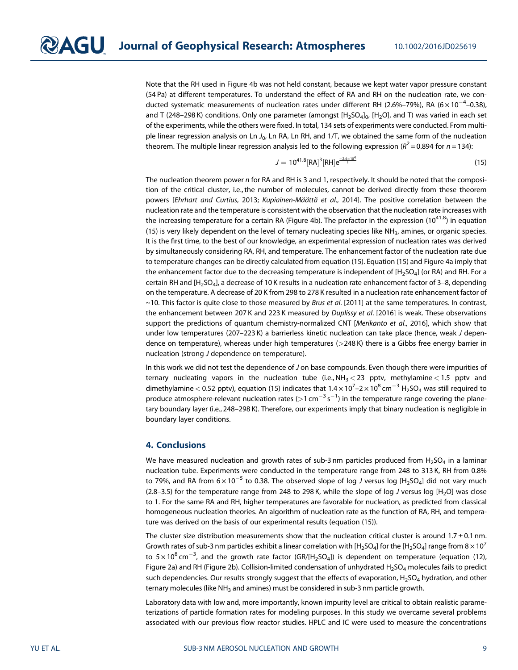Note that the RH used in Figure 4b was not held constant, because we kept water vapor pressure constant (54 Pa) at different temperatures. To understand the effect of RA and RH on the nucleation rate, we conducted systematic measurements of nucleation rates under different RH (2.6%–79%), RA (6 $\times$ 10 $^{-4}$ –0.38), and T (248–298 K) conditions. Only one parameter (amongst  $[H_2SO_4]_0$ ,  $[H_2O]$ , and T) was varied in each set of the experiments, while the others were fixed. In total, 134 sets of experiments were conducted. From multiple linear regression analysis on Ln  $J_0$ , Ln RA, Ln RH, and 1/T, we obtained the same form of the nucleation theorem. The multiple linear regression analysis led to the following expression ( $R^2 = 0.894$  for  $n = 134$ ):

$$
J = 10^{41.8} [RA]^3 [RH] e^{\frac{-2.4 \times 10^4}{l}}
$$
 (15)

The nucleation theorem power n for RA and RH is 3 and 1, respectively. It should be noted that the composition of the critical cluster, i.e., the number of molecules, cannot be derived directly from these theorem powers [Ehrhart and Curtius, 2013; Kupiainen-Määttä et al., 2014]. The positive correlation between the nucleation rate and the temperature is consistent with the observation that the nucleation rate increases with the increasing temperature for a certain RA (Figure 4b). The prefactor in the expression  $(10^{41.8})$  in equation (15) is very likely dependent on the level of ternary nucleating species like NH<sub>3</sub>, amines, or organic species. It is the first time, to the best of our knowledge, an experimental expression of nucleation rates was derived by simultaneously considering RA, RH, and temperature. The enhancement factor of the nucleation rate due to temperature changes can be directly calculated from equation (15). Equation (15) and Figure 4a imply that the enhancement factor due to the decreasing temperature is independent of  $[H_2SO_4]$  (or RA) and RH. For a certain RH and [H<sub>2</sub>SO<sub>4</sub>], a decrease of 10 K results in a nucleation rate enhancement factor of 3–8, depending on the temperature. A decrease of 20 K from 298 to 278 K resulted in a nucleation rate enhancement factor of  $\sim$ 10. This factor is quite close to those measured by Brus et al. [2011] at the same temperatures. In contrast, the enhancement between 207 K and 223 K measured by Duplissy et al. [2016] is weak. These observations support the predictions of quantum chemistry-normalized CNT [Merikanto et al., 2016], which show that under low temperatures (207–223 K) a barrierless kinetic nucleation can take place (hence, weak J dependence on temperature), whereas under high temperatures (>248 K) there is a Gibbs free energy barrier in nucleation (strong J dependence on temperature).

In this work we did not test the dependence of J on base compounds. Even though there were impurities of ternary nucleating vapors in the nucleation tube (i.e.,  $NH<sub>3</sub> < 23$  pptv, methylamine < 1.5 pptv and dimethylamine  $<$  0.52 pptv), equation (15) indicates that 1.4  $\times$  10<sup>7</sup>–2  $\times$  10<sup>8</sup> cm<sup>-3</sup> H<sub>2</sub>SO<sub>4</sub> was still required to produce atmosphere-relevant nucleation rates (>1 cm<sup>-3</sup> s<sup>-1</sup>) in the temperature range covering the planetary boundary layer (i.e., 248–298 K). Therefore, our experiments imply that binary nucleation is negligible in boundary layer conditions.

#### 4. Conclusions

We have measured nucleation and growth rates of sub-3 nm particles produced from  $H_2SO_4$  in a laminar nucleation tube. Experiments were conducted in the temperature range from 248 to 313 K, RH from 0.8% to 79%, and RA from  $6 \times 10^{-5}$  to 0.38. The observed slope of log J versus log [H<sub>2</sub>SO<sub>4</sub>] did not vary much (2.8–3.5) for the temperature range from 248 to 298 K, while the slope of log J versus log  $[H<sub>2</sub>O]$  was close to 1. For the same RA and RH, higher temperatures are favorable for nucleation, as predicted from classical homogeneous nucleation theories. An algorithm of nucleation rate as the function of RA, RH, and temperature was derived on the basis of our experimental results (equation (15)).

The cluster size distribution measurements show that the nucleation critical cluster is around  $1.7 \pm 0.1$  nm. Growth rates of sub-3 nm particles exhibit a linear correlation with  $[H_2SO_4]$  for the  $[H_2SO_4]$  range from  $8 \times 10^7$ to 5 $\times\rm{10}^{8}$  cm $^{-3}$ , and the growth rate factor (GR/[H<sub>2</sub>SO<sub>4</sub>]) is dependent on temperature (equation (12), Figure 2a) and RH (Figure 2b). Collision-limited condensation of unhydrated H<sub>2</sub>SO<sub>4</sub> molecules fails to predict such dependencies. Our results strongly suggest that the effects of evaporation,  $H_2SO_4$  hydration, and other ternary molecules (like NH $_3$  and amines) must be considered in sub-3 nm particle growth.

Laboratory data with low and, more importantly, known impurity level are critical to obtain realistic parameterizations of particle formation rates for modeling purposes. In this study we overcame several problems associated with our previous flow reactor studies. HPLC and IC were used to measure the concentrations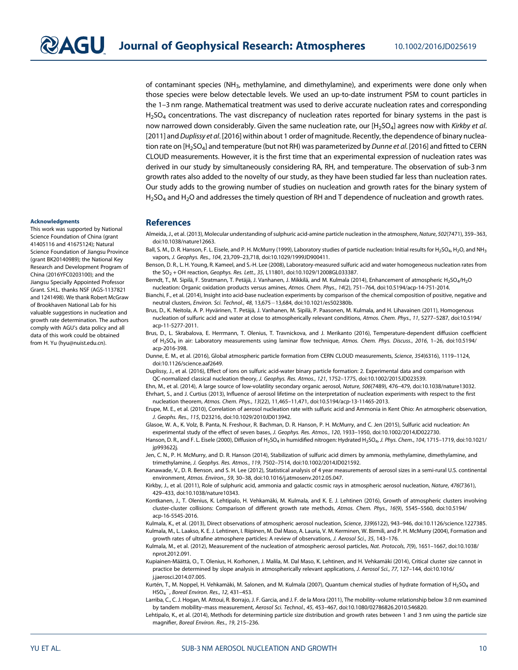of contaminant species (NH3, methylamine, and dimethylamine), and experiments were done only when those species were below detectable levels. We used an up-to-date instrument PSM to count particles in the 1–3 nm range. Mathematical treatment was used to derive accurate nucleation rates and corresponding  $H_2$ SO<sub>4</sub> concentrations. The vast discrepancy of nucleation rates reported for binary systems in the past is now narrowed down considerably. Given the same nucleation rate, our [H<sub>2</sub>SO<sub>4</sub>] agrees now with Kirkby et al. [2011] and Duplissy et al. [2016] within about 1 order of magnitude. Recently, the dependence of binary nucleation rate on [H<sub>2</sub>SO<sub>4</sub>] and temperature (but not RH) was parameterized by Dunne et al. [2016] and fitted to CERN CLOUD measurements. However, it is the first time that an experimental expression of nucleation rates was derived in our study by simultaneously considering RA, RH, and temperature. The observation of sub-3 nm growth rates also added to the novelty of our study, as they have been studied far less than nucleation rates. Our study adds to the growing number of studies on nucleation and growth rates for the binary system of  $H_2$ SO<sub>4</sub> and H<sub>2</sub>O and addresses the timely question of RH and T dependence of nucleation and growth rates.

#### Acknowledgments

This work was supported by National Science Foundation of China (grant 41405116 and 41675124); Natural Science Foundation of Jiangsu Province (grant BK20140989); the National Key Research and Development Program of China (2016YFC0203100); and the Jiangsu Specially Appointed Professor Grant. S.H.L. thanks NSF (AGS-1137821 and 1241498). We thank Robert McGraw of Brookhaven National Lab for his valuable suggestions in nucleation and growth rate determination. The authors comply with AGU's data policy and all data of this work could be obtained from H. Yu (hyu@nuist.edu.cn).

#### **References**

- Almeida, J., et al. (2013), Molecular understanding of sulphuric acid-amine particle nucleation in the atmosphere, Nature, 502(7471), 359–363, doi:10.1038/nature12663.
- Ball, S. M., D. R. Hanson, F. L. Eisele, and P. H. McMurry (1999), Laboratory studies of particle nucleation: Initial results for H<sub>2</sub>SO<sub>4</sub>, H<sub>2</sub>O, and NH<sub>3</sub> vapors, J. Geophys. Res., 104, 23,709–23,718, doi:10.1029/1999JD900411.
- Benson, D. R., L. H. Young, R. Kameel, and S.-H. Lee (2008), Laboratory-measured sulfuric acid and water homogeneous nucleation rates from the  $SO_2$  + OH reaction, Geophys. Res. Lett., 35, L11801, doi:10.1029/12008GL033387.
- Berndt, T., M. Sipilä, F. Stratmann, T. Petäjä, J. Vanhanen, J. Mikkilä, and M. Kulmala (2014), Enhancement of atmospheric H<sub>2</sub>SO<sub>4</sub>/H<sub>2</sub>O nucleation: Organic oxidation products versus amines, Atmos. Chem. Phys., 14(2), 751–764, doi:10.5194/acp-14-751-2014.

Bianchi, F., et al. (2014), Insight into acid-base nucleation experiments by comparison of the chemical composition of positive, negative and neutral clusters, Environ. Sci. Technol., 48, 13,675-13,684, doi:10.1021/es502380b.

Brus, D., K. Neitola, A. P. Hyvärinen, T. Petäjä, J. Vanhanen, M. Sipilä, P. Paasonen, M. Kulmala, and H. Lihavainen (2011), Homogenous nucleation of sulfuric acid and water at close to atmospherically relevant conditions, Atmos. Chem. Phys., 11, 5277–5287, doi:10.5194/ acp-11-5277-2011.

- Brus, D., L. Skrabalova, E. Herrmann, T. Olenius, T. Travnickova, and J. Merikanto (2016), Temperature-dependent diffusion coefficient of H2SO4 in air: Laboratory measurements using laminar flow technique, Atmos. Chem. Phys. Discuss., 2016, 1–26, doi:10.5194/ acp-2016-398.
- Dunne, E. M., et al. (2016), Global atmospheric particle formation from CERN CLOUD measurements, Science, 354(6316), 1119–1124, doi:10.1126/science.aaf2649.
- Duplissy, J., et al. (2016), Effect of ions on sulfuric acid-water binary particle formation: 2. Experimental data and comparison with QC-normalized classical nucleation theory, J. Geophys. Res. Atmos., 121, 1752–1775, doi:10.1002/2015JD023539.

Ehn, M., et al. (2014), A large source of low-volatility secondary organic aerosol, Nature, 506(7489), 476–479, doi:10.1038/nature13032. Ehrhart, S., and J. Curtius (2013), Influence of aerosol lifetime on the interpretation of nucleation experiments with respect to the first nucleation theorem, Atmos. Chem. Phys., 13(22), 11,465–11,471, doi:10.5194/acp-13-11465-2013.

Erupe, M. E., et al. (2010), Correlation of aerosol nucleation rate with sulfuric acid and Ammonia in Kent Ohio: An atmospheric observation, J. Geophs. Res., 115, D23216, doi:10.1029/2010JD013942.

Glasoe, W. A., K. Volz, B. Panta, N. Freshour, R. Bachman, D. R. Hanson, P. H. McMurry, and C. Jen (2015), Sulfuric acid nucleation: An experimental study of the effect of seven bases, J. Geophys. Res. Atmos., 120, 1933–1950, doi:10.1002/2014JD022730.

Hanson, D. R., and F. L. Eisele (2000), Diffusion of H<sub>2</sub>SO<sub>4</sub> in humidified nitrogen: Hydrated H<sub>2</sub>SO<sub>4</sub>, J. Phys. Chem., 104, 1715-1719, doi:10.1021/ jp993622j.

Jen, C. N., P. H. McMurry, and D. R. Hanson (2014), Stabilization of sulfuric acid dimers by ammonia, methylamine, dimethylamine, and trimethylamine, J. Geophys. Res. Atmos., 119, 7502–7514, doi:10.1002/2014JD021592.

Kanawade, V., D. R. Benson, and S. H. Lee (2012), Statistical analysis of 4 year measurements of aerosol sizes in a semi-rural U.S. continental environment, Atmos. Environ., 59, 30–38, doi:10.1016/j.atmosenv.2012.05.047.

Kirkby, J., et al. (2011), Role of sulphuric acid, ammonia and galactic cosmic rays in atmospheric aerosol nucleation, Nature, 476(7361), 429–433, doi:10.1038/nature10343.

Kontkanen, J., T. Olenius, K. Lehtipalo, H. Vehkamäki, M. Kulmala, and K. E. J. Lehtinen (2016), Growth of atmospheric clusters involving cluster-cluster collisions: Comparison of different growth rate methods, Atmos. Chem. Phys., 16(9), 5545–5560, doi:10.5194/ acp-16-5545-2016.

Kulmala, K., et al. (2013), Direct observations of atmospheric aerosol nucleation, Science, 339(6122), 943–946, doi:10.1126/science.1227385. Kulmala, M., L. Laakso, K. E. J. Lehtinen, I. Riipinen, M. Dal Maso, A. Lauria, V. M. Kerminen, W. Birmili, and P. H. McMurry (2004), Formation and growth rates of ultrafine atmosphere particles: A review of observations, J. Aerosol Sci., 35, 143–176.

Kulmala, M., et al. (2012), Measurement of the nucleation of atmospheric aerosol particles, Nat. Protocols, 7(9), 1651–1667, doi:10.1038/ nprot.2012.091.

Kupiainen-Määttä, O., T. Olenius, H. Korhonen, J. Malila, M. Dal Maso, K. Lehtinen, and H. Vehkamäki (2014), Critical cluster size cannot in practice be determined by slope analysis in atmospherically relevant applications, J. Aerosol Sci., 77, 127–144, doi:10.1016/ j.jaerosci.2014.07.005.

Kurtén, T., M. Noppel, H. Vehkamäki, M. Salonen, and M. Kulmala (2007), Quantum chemical studies of hydrate formation of H<sub>2</sub>SO<sub>4</sub> and  $HSO_4$ <sup>-</sup>, Boreal Environ. Res., 12, 431–453.

- Larriba, C., C. J. Hogan, M. Attoui, R. Borrajo, J. F. Garcia, and J. F. de la Mora (2011), The mobility–volume relationship below 3.0 nm examined by tandem mobility–mass measurement, Aerosol Sci. Technol., 45, 453–467, doi:10.1080/02786826.2010.546820.
- Lehtipalo, K., et al. (2014), Methods for determining particle size distribution and growth rates between 1 and 3 nm using the particle size magnifier, Boreal Environ. Res., 19, 215–236.